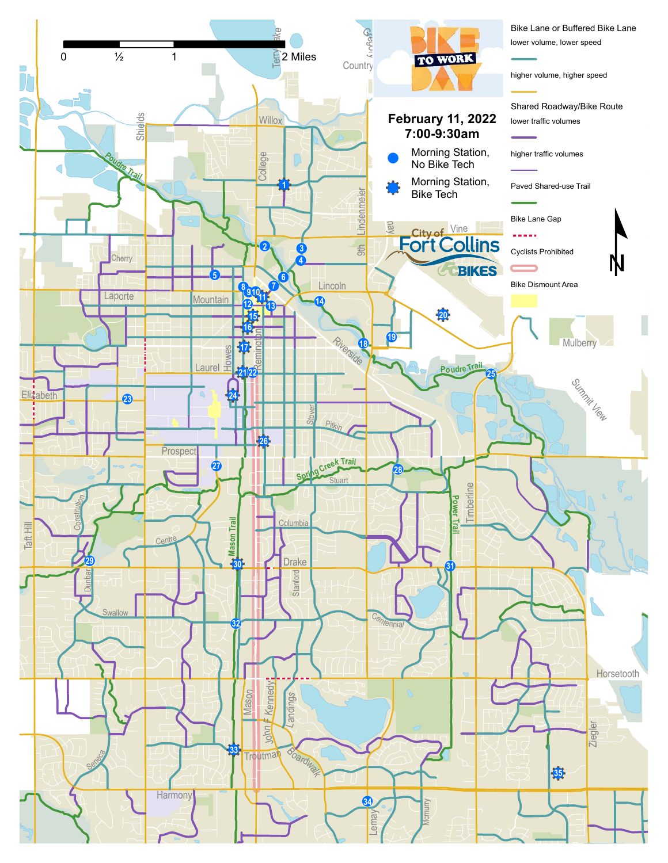